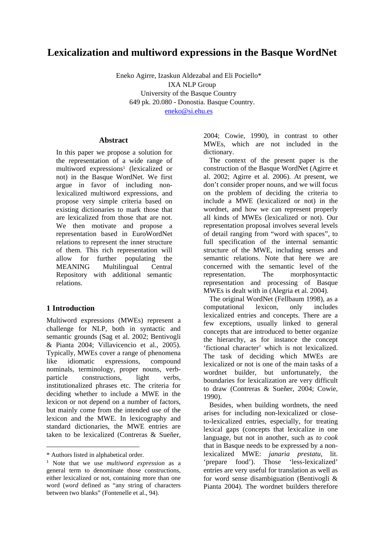# **Lexicalization and multiword expressions in the Basque WordNet**

Eneko Agirre, Izaskun Aldezabal and Eli Pociello\* IXA NLP Group University of the Basque Country 649 pk. 20.080 - Donostia. Basque Country. [eneko@si.ehu.es](mailto:eneko@si.ehu.es)

### **Abstract**

In this paper we propose a solution for the representation of a wide range of multiword expressions<sup>1</sup> (lexicalized or not) in the Basque WordNet. We first argue in favor of including nonlexicalized multiword expressions, and propose very simple criteria based on existing dictionaries to mark those that are lexicalized from those that are not. We then motivate and propose a representation based in EuroWordNet relations to represent the inner structure of them. This rich representation will allow for further populating the MEANING Multilingual Central Repository with additional semantic relations.

## **1 Introduction**

Multiword expressions (MWEs) represent a challenge for NLP, both in syntactic and semantic grounds (Sag et al. 2002; Bentivogli & Pianta 2004; Villavicencio et al., 2005). Typically, MWEs cover a range of phenomena like idiomatic expressions, compound nominals, terminology, proper nouns, verbparticle constructions, light verbs, institutionalized phrases etc. The criteria for deciding whether to include a MWE in the lexicon or not depend on a number of factors, but mainly come from the intended use of the lexicon and the MWE. In lexicography and standard dictionaries, the MWE entries are taken to be lexicalized (Contreras & Sueñer,

 $\overline{a}$ 

2004; Cowie, 1990), in contrast to other MWEs, which are not included in the dictionary.

The context of the present paper is the construction of the Basque WordNet (Agirre et al. 2002; Agirre et al. 2006). At present, we don't consider proper nouns, and we will focus on the problem of deciding the criteria to include a MWE (lexicalized or not) in the wordnet, and how we can represent properly all kinds of MWEs (lexicalized or not). Our representation proposal involves several levels of detail ranging from "word with spaces", to full specification of the internal semantic structure of the MWE, including senses and semantic relations. Note that here we are concerned with the semantic level of the representation. The morphosyntactic representation and processing of Basque MWEs is dealt with in (Alegria et al. 2004).

The original WordNet (Fellbaum 1998), as a computational lexicon, only includes lexicalized entries and concepts. There are a few exceptions, usually linked to general concepts that are introduced to better organize the hierarchy, as for instance the concept 'fictional character' which is not lexicalized. The task of deciding which MWEs are lexicalized or not is one of the main tasks of a wordnet builder, but unfortunately, the boundaries for lexicalization are very difficult to draw (Contreras & Sueñer, 2004; Cowie, 1990).

Besides, when building wordnets, the need arises for including non-lexicalized or closeto-lexicalized entries, especially, for treating lexical gaps (concepts that lexicalize in one language, but not in another, such as *to cook* that in Basque needs to be expressed by a nonlexicalized MWE: *janaria prestatu,* lit. 'prepare food'). Those 'less-lexicalized' entries are very useful for translation as well as for word sense disambiguation (Bentivogli & Pianta 2004). The wordnet builders therefore

<span id="page-0-0"></span><sup>\*</sup> Authors listed in alphabetical order.

<sup>1</sup> Note that we use *multiword expression* as a general term to denominate those constructions, either lexicalized or not, containing more than one word (*word* defined as "any string of characters between two blanks" (Fontenelle et al., 94).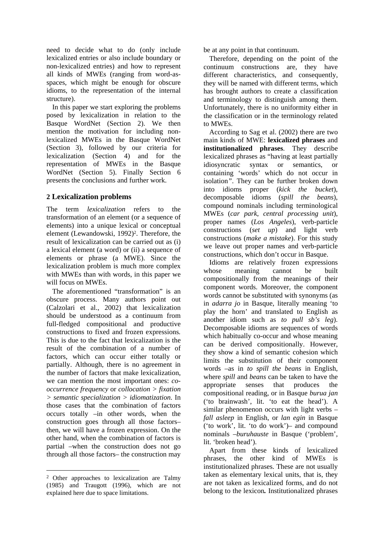need to decide what to do (only include lexicalized entries or also include boundary or non-lexicalized entries) and how to represent all kinds of MWEs (ranging from word-asspaces, which might be enough for obscure idioms, to the representation of the internal structure).

In this paper we start exploring the problems posed by lexicalization in relation to the Basque WordNet (Section 2). We then mention the motivation for including nonlexicalized MWEs in the Basque WordNet (Section 3), followed by our criteria for lexicalization (Section 4) and for the representation of MWEs in the Basque WordNet (Section 5). Finally Section 6 presents the conclusions and further work.

## **2 Lexicalization problems**

The term *lexicalization* refers to the transformation of an element (or a sequence of elements) into a unique lexical or conceptual element (Lewandowski, 1992)<sup>2</sup>. Therefore, the result of lexicalization can be carried out as (i) a lexical element (a word) or (ii) a sequence of elements or phrase (a MWE). Since the lexicalization problem is much more complex with MWEs than with words, in this paper we will focus on MWEs.

The aforementioned "transformation" is an obscure process. Many authors point out (Calzolari et al., 2002) that lexicalization should be understood as a continuum from full-fledged compositional and productive constructions to fixed and frozen expressions*.* This is due to the fact that lexicalization is the result of the combination of a number of factors, which can occur either totally or partially. Although, there is no agreement in the number of factors that make lexicalization, we can mention the most important ones: *cooccurrence frequency* or *collocation > fixation > semantic specialization > idiomatization.* In those cases that the combination of factors occurs totally –in other words, when the construction goes through all those factors– then, we will have a frozen expression. On the other hand, when the combination of factors is partial –when the construction does not go through all those factors– the construction may

 $\overline{a}$ 

be at any point in that continuum.

Therefore, depending on the point of the continuum constructions are, they have different characteristics, and consequently, they will be named with different terms, which has brought authors to create a classification and terminology to distinguish among them. Unfortunately, there is no uniformity either in the classification or in the terminology related to MWEs.

According to Sag et al. (2002) there are two main kinds of MWE: **lexicalized phrases** and **institutionalized phrases**. They describe lexicalized phrases as "having at least partially idiosyncratic syntax or semantics, or containing 'words' which do not occur in isolation*"*. They can be further broken down into idioms proper (*kick the bucket*), decomposable idioms (*spill the beans*), compound nominals including terminological MWEs (*car park*, *central processing unit*), proper names (*Los Angeles*), verb-particle constructions (*set up*) and light verb constructions (*make a mistake*). For this study we leave out proper names and verb-particle constructions, which don't occur in Basque.

Idioms are relatively frozen expressions whose meaning cannot be built compositionally from the meanings of their component words. Moreover, the component words cannot be substituted with synonyms (as in *adarra jo* in Basque, literally meaning 'to play the horn' and translated to English as another idiom such as *to pull sb's leg*). Decomposable idioms are sequences of words which habitually co-occur and whose meaning can be derived compositionally. However, they show a kind of semantic cohesion which limits the substitution of their component words –as in *to spill the beans* in English, where *spill* and *beans* can be taken to have the appropriate senses that produces the compositional reading, or in Basque *burua jan* ('to brainwash', lit. 'to eat the head'). A similar phenomenon occurs with light verbs – *fall asleep* in English, or *lan egin* in Basque ('to work', lit. 'to do work')– and compound nominals –*buruhauste* in Basque ('problem', lit. 'broken head').

Apart from these kinds of lexicalized phrases, the other kind of MWEs is institutionalized phrases. These are not usually taken as elementary lexical units, that is, they are not taken as lexicalized forms, and do not belong to the lexicon*.* Institutionalized phrases

<span id="page-1-0"></span><sup>2</sup> Other approaches to lexicalization are Talmy (1985) and Traugott (1996), which are not explained here due to space limitations.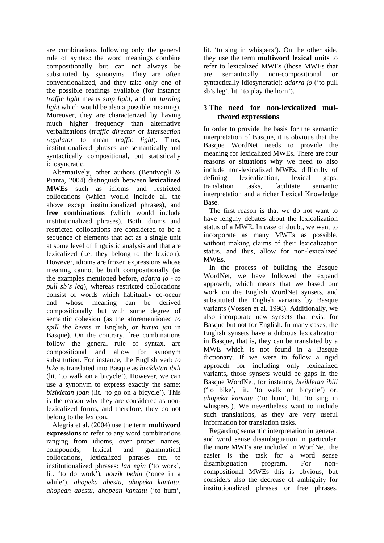are combinations following only the general rule of syntax: the word meanings combine compositionally but can not always be substituted by synonyms. They are often conventionalized, and they take only one of the possible readings available (for instance *traffic light* means *stop light*, and not *turning light* which would be also a possible meaning). Moreover, they are characterized by having much higher frequency than alternative verbalizations (*traffic director* or *intersection regulator* to mean *traffic light*). Thus, institutionalized phrases are semantically and syntactically compositional, but statistically idiosyncratic.

Alternatively, other authors (Bentivogli & Pianta, 2004) distinguish between **lexicalized MWEs** such as idioms and restricted collocations (which would include all the above except institutionalized phrases), and **free combinations** (which would include institutionalized phrases). Both idioms and restricted collocations are considered to be a sequence of elements that act as a single unit at some level of linguistic analysis and that are lexicalized (i.e. they belong to the lexicon). However, idioms are frozen expressions whose meaning cannot be built compositionally (as the examples mentioned before, *adarra jo* - *to pull sb's leg*), whereas restricted collocations consist of words which habitually co-occur and whose meaning can be derived compositionally but with some degree of semantic cohesion (as the aforementioned *to spill the beans* in English, or *burua jan* in Basque). On the contrary, free combinations follow the general rule of syntax, are compositional and allow for synonym substitution. For instance, the English verb *to bike* is translated into Basque as *bizikletan ibili*  (lit. 'to walk on a bicycle'). However, we can use a synonym to express exactly the same: *bizikletan joan* (lit. 'to go on a bicycle'). This is the reason why they are considered as nonlexicalized forms, and therefore, they do not belong to the lexicon*.*

Alegria et al. (2004) use the term **multiword expressions** to refer to any word combinations ranging from idioms, over proper names, compounds, lexical and grammatical collocations, lexicalized phrases etc. to institutionalized phrases: *lan egin* ('to work', lit. 'to do work'), *noizik behin* ('once in a while'), *ahopeka abestu, ahopeka kantatu, ahopean abestu, ahopean kantatu* ('to hum',

lit. 'to sing in whispers'). On the other side, they use the term **multiword lexical units** to refer to lexicalized MWEs (those MWEs that are semantically non-compositional or syntactically idiosyncratic): *adarra jo* ('to pull sb's leg', lit. 'to play the horn').

## **3 The need for non-lexicalized multiword expressions**

In order to provide the basis for the semantic interpretation of Basque, it is obvious that the Basque WordNet needs to provide the meaning for lexicalized MWEs. There are four reasons or situations why we need to also include non-lexicalized MWEs: difficulty of defining lexicalization, lexical gaps, translation tasks, facilitate semantic interpretation and a richer Lexical Knowledge Base.

The first reason is that we do not want to have lengthy debates about the lexicalization status of a MWE. In case of doubt, we want to incorporate as many MWEs as possible, without making claims of their lexicalization status, and thus, allow for non-lexicalized MWEs.

In the process of building the Basque WordNet, we have followed the expand approach, which means that we based our work on the English WordNet synsets, and substituted the English variants by Basque variants (Vossen et al. 1998). Additionally, we also incorporate new synsets that exist for Basque but not for English. In many cases, the English synsets have a dubious lexicalization in Basque, that is, they can be translated by a MWE which is not found in a Basque dictionary. If we were to follow a rigid approach for including only lexicalized variants, those synsets would be gaps in the Basque WordNet, for instance, *bizikletan ibili*  ('to bike', lit. 'to walk on bicycle') or, *ahopeka kantatu* ('to hum', lit. 'to sing in whispers'). We nevertheless want to include such translations, as they are very useful information for translation tasks.

Regarding semantic interpretation in general, and word sense disambiguation in particular, the more MWEs are included in WordNet, the easier is the task for a word sense disambiguation program. For noncompositional MWEs this is obvious, but considers also the decrease of ambiguity for institutionalized phrases or free phrases.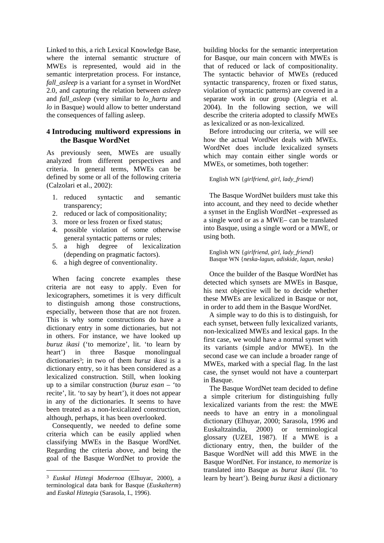Linked to this, a rich Lexical Knowledge Base, where the internal semantic structure of MWEs is represented, would aid in the semantic interpretation process. For instance, *fall\_asleep* is a variant for a synset in WordNet 2.0, and capturing the relation between *asleep* and *fall\_asleep* (very similar to *lo\_hartu* and *lo* in Basque) would allow to better understand the consequences of falling asleep.

### **4 Introducing multiword expressions in the Basque WordNet**

As previously seen, MWEs are usually analyzed from different perspectives and criteria. In general terms, MWEs can be defined by some or all of the following criteria (Calzolari et al., 2002):

- 1. reduced syntactic and semantic transparency;
- 2. reduced or lack of compositionality;
- 3. more or less frozen or fixed status;
- 4. possible violation of some otherwise general syntactic patterns or rules;
- 5. a high degree of lexicalization (depending on pragmatic factors).
- 6. a high degree of conventionality.

When facing concrete examples these criteria are not easy to apply. Even for lexicographers, sometimes it is very difficult to distinguish among those constructions, especially, between those that are not frozen. This is why some constructions do have a dictionary entry in some dictionaries, but not in others. For instance, we have looked up *buruz ikasi* ('to memorize', lit. 'to learn by heart') in three Basque monolingual dictionarie[s3;](#page-3-0) in two of them *buruz ikasi* is a dictionary entry, so it has been considered as a lexicalized construction. Still, when looking up to a similar construction (*buruz esan –* 'to recite', lit. 'to say by heart'), it does not appear in any of the dictionaries. It seems to have been treated as a non-lexicalized construction, although, perhaps, it has been overlooked.

Consequently, we needed to define some criteria which can be easily applied when classifying MWEs in the Basque WordNet. Regarding the criteria above, and being the goal of the Basque WordNet to provide the

 $\overline{a}$ 

building blocks for the semantic interpretation for Basque, our main concern with MWEs is that of reduced or lack of compositionality. The syntactic behavior of MWEs (reduced syntactic transparency, frozen or fixed status, violation of syntactic patterns) are covered in a separate work in our group (Alegria et al. 2004). In the following section, we will describe the criteria adopted to classify MWEs as lexicalized or as non-lexicalized.

Before introducing our criteria, we will see how the actual WordNet deals with MWEs. WordNet does include lexicalized synsets which may contain either single words or MWEs, or sometimes, both together:

#### English WN {*girlfriend, girl, lady\_friend*}

The Basque WordNet builders must take this into account, and they need to decide whether a synset in the English WordNet –expressed as a single word or as a MWE– can be translated into Basque, using a single word or a MWE, or using both.

English WN {*girlfriend, girl, lady\_friend*} Basque WN {*neska-lagun, adiskide, lagun, neska*}

Once the builder of the Basque WordNet has detected which synsets are MWEs in Basque, his next objective will be to decide whether these MWEs are lexicalized in Basque or not, in order to add them in the Basque WordNet.

A simple way to do this is to distinguish, for each synset, between fully lexicalized variants, non-lexicalized MWEs and lexical gaps. In the first case, we would have a normal synset with its variants (simple and/or MWE). In the second case we can include a broader range of MWEs, marked with a special flag. In the last case, the synset would not have a counterpart in Basque.

The Basque WordNet team decided to define a simple criterium for distinguishing fully lexicalized variants from the rest: the MWE needs to have an entry in a monolingual dictionary (Elhuyar, 2000; Sarasola, 1996 and Euskaltzaindia, 2000) or terminological glossary (UZEI, 1987). If a MWE is a dictionary entry, then, the builder of the Basque WordNet will add this MWE in the Basque WordNet. For instance, *to memorize* is translated into Basque as *buruz ikasi* (lit. 'to learn by heart'). Being *buruz ikasi* a dictionary

<span id="page-3-0"></span><sup>3</sup> *Euskal Hiztegi Modernoa* (Elhuyar, 2000), a terminological data bank for Basque (*Euskalterm*) and *Euskal Hiztegia* (Sarasola, I., 1996).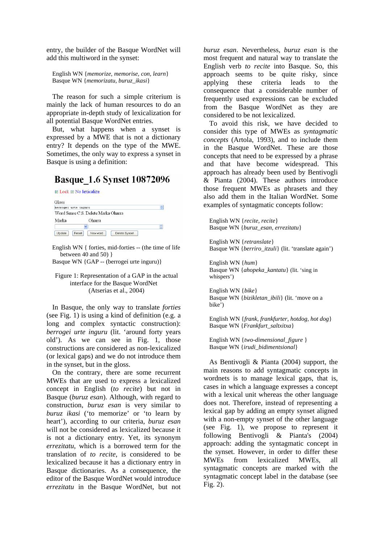entry, the builder of the Basque WordNet will add this multiword in the synset:

English WN {*memorize, memorise, con, learn*} Basque WN {*memorizatu, buruz\_ikasi*}

The reason for such a simple criterium is mainly the lack of human resources to do an appropriate in-depth study of lexicalization for all potential Basque WordNet entries.

But, what happens when a synset is expressed by a MWE that is not a dictionary entry? It depends on the type of the MWE. Sometimes, the only way to express a synset in Basque is using a definition:

## **Basque 1.6 Synset 10872096**

**Ø** Lock Ø No lexicalize

| Gloss                |                                     |   |  |  |
|----------------------|-------------------------------------|---|--|--|
| berrogei urte inquru |                                     |   |  |  |
|                      | Word Sense C.S. Delete Marka Oharra |   |  |  |
| Marka                | Oharra                              |   |  |  |
|                      | $\ddotmark$                         | ÷ |  |  |
| Update               | Reset<br>New word<br>Delete Synset  |   |  |  |

English WN { forties, mid-forties -- (the time of life between 40 and 50)  $\}$ Basque WN {GAP -- (berrogei urte inguru)}

Figure 1: Representation of a GAP in the actual interface for the Basque WordNet (Atserias et al., 2004)

In Basque, the only way to translate *forties*  (see Fig. 1) is using a kind of definition (e.g. a long and complex syntactic construction): *berrogei urte inguru* (lit. 'around forty years old'). As we can see in Fig. 1, those constructions are considered as non-lexicalized (or lexical gaps) and we do not introduce them in the synset, but in the gloss.

On the contrary, there are some recurrent MWEs that are used to express a lexicalized concept in English (*to recite*) but not in Basque (*buruz esan*). Although, with regard to construction, *buruz esan* is very similar to *buruz ikasi* ('to memorize' or 'to learn by heart'), according to our criteria, *buruz esan* will not be considered as lexicalized because it is not a dictionary entry. Yet, its synonym *errezitatu*, which is a borrowed term for the translation of *to recite*, is considered to be lexicalized because it has a dictionary entry in Basque dictionaries. As a consequence, the editor of the Basque WordNet would introduce *errezitatu* in the Basque WordNet, but not

*buruz esan*. Nevertheless, *buruz esan* is the most frequent and natural way to translate the English verb *to recite* into Basque. So, this approach seems to be quite risky, since applying these criteria leads to the consequence that a considerable number of frequently used expressions can be excluded from the Basque WordNet as they are considered to be not lexicalized.

To avoid this risk, we have decided to consider this type of MWEs as *syntagmatic concepts* (Artola, 1993), and to include them in the Basque WordNet. These are those concepts that need to be expressed by a phrase and that have become widespread. This approach has already been used by Bentivogli & Pianta (2004). These authors introduce those frequent MWEs as phrasets and they also add them in the Italian WordNet. Some examples of syntagmatic concepts follow:

English WN {*recite, recite*} Basque WN {*buruz\_esan, errezitatu*}

English WN {*retranslate*} Basque WN {*berriro\_itzuli*} (lit. 'translate again')

English WN {*hum*} Basque WN {*ahopeka\_kantatu*} (lit. 'sing in whispers')

English WN {*bike*} Basque WN {*bizikletan\_ibili*} (lit. 'move on a bike')

English WN {*frank, frankfurter, hotdog, hot dog*} Basque WN {*Frankfurt\_saltxitxa*}

English WN {*two-dimensional\_figure* } Basque WN {*irudi\_bidimentsional*}

As Bentivogli & Pianta (2004) support, the main reasons to add syntagmatic concepts in wordnets is to manage lexical gaps, that is, cases in which a language expresses a concept with a lexical unit whereas the other language does not. Therefore, instead of representing a lexical gap by adding an empty synset aligned with a non-empty synset of the other language (see Fig. 1), we propose to represent it following Bentivogli & Pianta's (2004) approach: adding the syntagmatic concept in the synset. However, in order to differ these MWEs from lexicalized MWEs, all syntagmatic concepts are marked with the syntagmatic concept label in the database (see Fig. 2).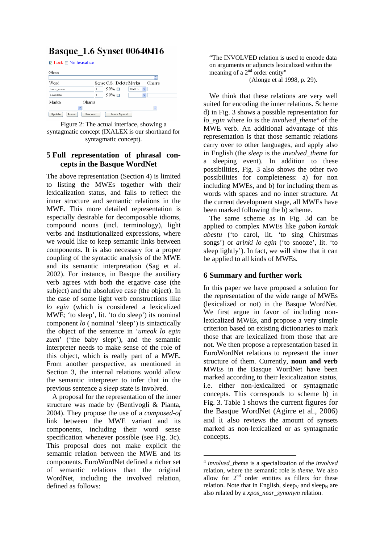## **Basque 1.6 Synset 00640416**

 $\blacksquare$  Lock  $\blacksquare$  No lexicalize

| Gloss           |             |                         |                               |             |
|-----------------|-------------|-------------------------|-------------------------------|-------------|
| Word            |             | Sense C.S. Delete Marka |                               | ÷<br>Oharra |
| buruz_esan      |             | $99\%$ $\Box$           | <b>IXALEX</b><br>$\checkmark$ |             |
| errezitatu      |             | $99\%$ $\Box$           | $\checkmark$                  |             |
| Marka           | Oharra      |                         |                               |             |
|                 | $\ddotmark$ |                         |                               | ÷           |
| Update<br>Reset | New word    | Delete Synset           |                               |             |

Figure 2: The actual interface, showing a syntagmatic concept (IXALEX is our shorthand for syntagmatic concept).

## **5 Full representation of phrasal concepts in the Basque WordNet**

The above representation (Section 4) is limited to listing the MWEs together with their lexicalization status, and fails to reflect the inner structure and semantic relations in the MWE. This more detailed representation is especially desirable for decomposable idioms, compound nouns (incl. terminology), light verbs and institutionalized expressions, where we would like to keep semantic links between components. It is also necessary for a proper coupling of the syntactic analysis of the MWE and its semantic interpretation (Sag et al. 2002). For instance, in Basque the auxiliary verb agrees with both the ergative case (the subject) and the absolutive case (the object). In the case of some light verb constructions like *lo egin* (which is considered a lexicalized MWE; 'to sleep', lit. 'to do sleep') its nominal component *lo* ( nominal 'sleep') is sintactically the object of the sentence in '*umeak lo egin zuen*' ('the baby slept'), and the semantic interpreter needs to make sense of the role of this object, which is really part of a MWE. From another perspective, as mentioned in Section 3, the internal relations would allow the semantic interpreter to infer that in the previous sentence a *sleep* state is involved.

A proposal for the representation of the inner structure was made by (Bentivogli & Pianta, 2004). They propose the use of a *composed-of* link between the MWE variant and its components, including their word sense specification whenever possible (see Fig. 3c). This proposal does not make explicit the semantic relation between the MWE and its components. EuroWordNet defined a richer set of semantic relations than the original WordNet, including the involved relation, defined as follows:

"The INVOLVED relation is used to encode data on arguments or adjuncts lexicalized within the meaning of a 2<sup>nd</sup> order entity"

(Alonge et al 1998, p. 29).

We think that these relations are very well suited for encoding the inner relations. Scheme d) in Fig. 3 shows a possible representation for *lo\_egin* where *lo* is the *involved\_them[e4](#page-5-0)* of the MWE verb. An additional advantage of this representation is that those semantic relations carry over to other languages, and apply also in English (the *sleep* is the *involved\_theme* for a sleeping event). In addition to these possibilities, Fig. 3 also shows the other two possibilities for completeness: a) for non including MWEs, and b) for including them as words with spaces and no inner structure. At the current development stage, all MWEs have been marked following the b) scheme.

The same scheme as in Fig. 3d can be applied to complex MWEs like *gabon kantak abestu* ('to carol, lit. 'to sing Chirstmas songs') or *arinki lo egin* ('to snooze', lit. 'to sleep lightly'). In fact, we will show that it can be applied to all kinds of MWEs.

## **6 Summary and further work**

In this paper we have proposed a solution for the representation of the wide range of MWEs (lexicalized or not) in the Basque WordNet. We first argue in favor of including nonlexicalized MWEs, and propose a very simple criterion based on existing dictionaries to mark those that are lexicalized from those that are not. We then propose a representation based in EuroWordNet relations to represent the inner structure of them. Currently, **noun and verb** MWEs in the Basque WordNet have been marked according to their lexicalization status, i.e. either non-lexicalized or syntagmatic concepts. This corresponds to scheme b) in Fig. 3. Table 1 shows the current figures for the Basque WordNet (Agirre et al., 2006) and it also reviews the amount of synsets marked as non-lexicalized or as syntagmatic concepts.

 $\overline{a}$ 

<span id="page-5-0"></span><sup>4</sup> *involved\_theme* is a specialization of the *involved*  relation, where the semantic role is *theme*. We also allow for  $2<sup>nd</sup>$  order entities as fillers for these relation. Note that in English, sleep<sub>y</sub> and sleep<sub>N</sub> are also related by a *xpos\_near\_synonym* relation.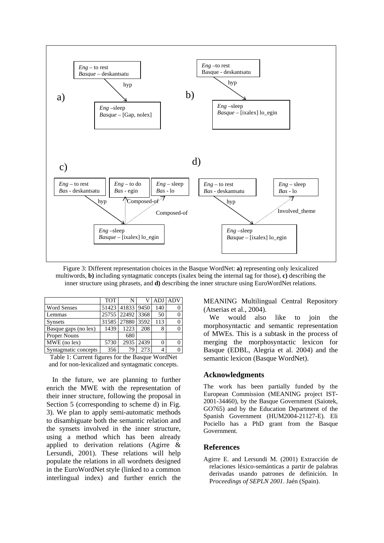

Figure 3: Different representation choices in the Basque WordNet: **a)** representing only lexicalized multiwords, **b)** including syntagmatic concepts (ixalex being the internal tag for those), **c)** describing the inner structure using phrasets, and **d)** describing the inner structure using EuroWordNet relations.

|                      | <b>TOT</b> | N                | v    | <b>ADJ</b> | <b>ADV</b> |
|----------------------|------------|------------------|------|------------|------------|
| <b>Word Senses</b>   |            | 51423 41833 9450 |      | 140        |            |
| Lemmas               |            | 25755 22492 3368 |      | 50         |            |
| <b>Synsets</b>       | 31585      | 27880            | 3592 | 113        |            |
| Basque gaps (no lex) | 1439       | 1223             | 208  | 8          |            |
| <b>Proper Nouns</b>  |            | 680              |      |            |            |
| MWE (no lex)         | 5730       | 2935             | 2439 | 0          |            |
| Syntagmatic concepts | 356        | 79               | 273  | 4          |            |

Table 1: Current figures for the Basque WordNet and for non-lexicalized and syntagmatic concepts.

In the future, we are planning to further enrich the MWE with the representation of their inner structure, following the proposal in Section 5 (corresponding to scheme d) in Fig. 3). We plan to apply semi-automatic methods to disambiguate both the semantic relation and the synsets involved in the inner structure, using a method which has been already applied to derivation relations (Agirre & Lersundi, 2001). These relations will help populate the relations in all wordnets designed in the EuroWordNet style (linked to a common interlingual index) and further enrich the

MEANING Multilingual Central Repository (Atserias et al., 2004).

We would also like to join the morphosyntactic and semantic representation of MWEs. This is a subtask in the process of merging the morphosyntactic lexicon for Basque (EDBL, Alegria et al. 2004) and the semantic lexicon (Basque WordNet).

#### **Acknowledgments**

The work has been partially funded by the European Commission (MEANING project IST-2001-34460), by the Basque Government (Saiotek, GO765) and by the Education Department of the Spanish Government (HUM2004-21127-E). Eli Pociello has a PhD grant from the Basque Government.

### **References**

Agirre E. and Lersundi M. (2001) Extracción de relaciones léxico-semánticas a partir de palabras derivadas usando patrones de definición. In P*roceedings of SEPLN 2001*. Jaén (Spain).